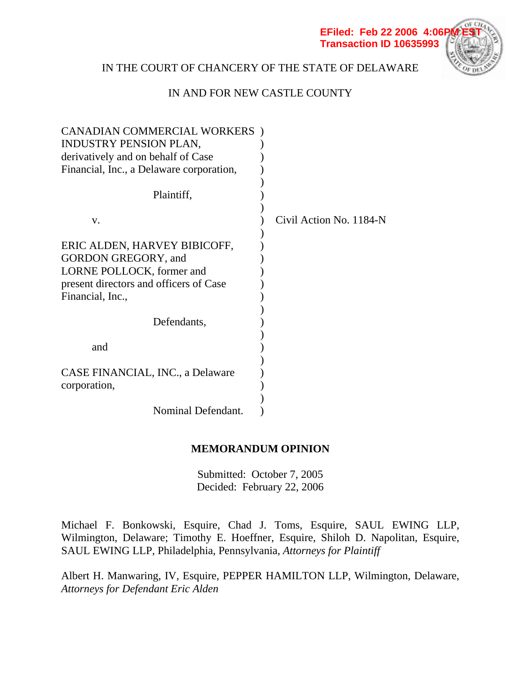

# IN THE COURT OF CHANCERY OF THE STATE OF DELAWARE

# IN AND FOR NEW CASTLE COUNTY

| <b>CANADIAN COMMERCIAL WORKERS</b> )     |                         |
|------------------------------------------|-------------------------|
| INDUSTRY PENSION PLAN,                   |                         |
| derivatively and on behalf of Case       |                         |
| Financial, Inc., a Delaware corporation, |                         |
|                                          |                         |
| Plaintiff,                               |                         |
| V.                                       | Civil Action No. 1184-N |
| ERIC ALDEN, HARVEY BIBICOFF,             |                         |
| <b>GORDON GREGORY, and</b>               |                         |
| LORNE POLLOCK, former and                |                         |
| present directors and officers of Case   |                         |
| Financial, Inc.,                         |                         |
|                                          |                         |
| Defendants,                              |                         |
|                                          |                         |
| and                                      |                         |
|                                          |                         |
| CASE FINANCIAL, INC., a Delaware         |                         |
| corporation,                             |                         |
|                                          |                         |
| Nominal Defendant.                       |                         |

# **MEMORANDUM OPINION**

Submitted: October 7, 2005 Decided: February 22, 2006

Michael F. Bonkowski, Esquire, Chad J. Toms, Esquire, SAUL EWING LLP, Wilmington, Delaware; Timothy E. Hoeffner, Esquire, Shiloh D. Napolitan, Esquire, SAUL EWING LLP, Philadelphia, Pennsylvania, *Attorneys for Plaintiff*

Albert H. Manwaring, IV, Esquire, PEPPER HAMILTON LLP, Wilmington, Delaware, *Attorneys for Defendant Eric Alden*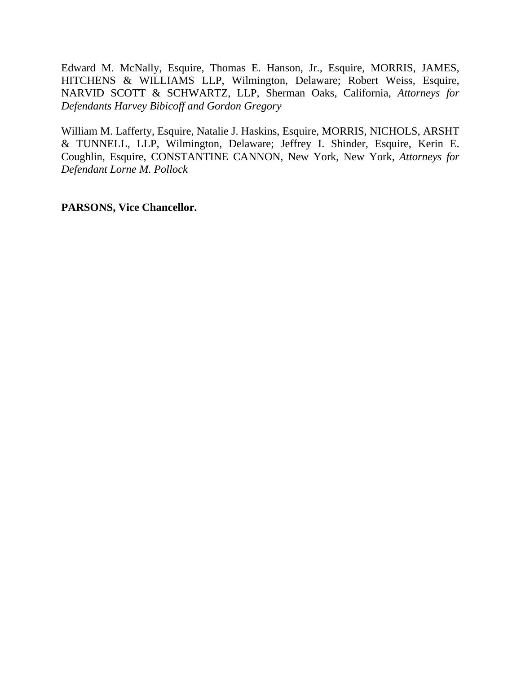Edward M. McNally, Esquire, Thomas E. Hanson, Jr., Esquire, MORRIS, JAMES, HITCHENS & WILLIAMS LLP, Wilmington, Delaware; Robert Weiss, Esquire, NARVID SCOTT & SCHWARTZ, LLP, Sherman Oaks, California, *Attorneys for Defendants Harvey Bibicoff and Gordon Gregory*

William M. Lafferty, Esquire, Natalie J. Haskins, Esquire, MORRIS, NICHOLS, ARSHT & TUNNELL, LLP, Wilmington, Delaware; Jeffrey I. Shinder, Esquire, Kerin E. Coughlin, Esquire, CONSTANTINE CANNON, New York, New York, *Attorneys for Defendant Lorne M. Pollock*

**PARSONS, Vice Chancellor.**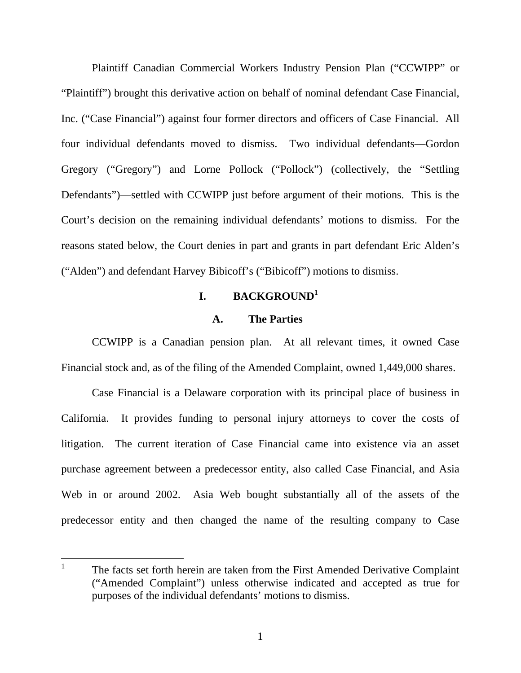Plaintiff Canadian Commercial Workers Industry Pension Plan ("CCWIPP" or "Plaintiff") brought this derivative action on behalf of nominal defendant Case Financial, Inc. ("Case Financial") against four former directors and officers of Case Financial. All four individual defendants moved to dismiss. Two individual defendants—Gordon Gregory ("Gregory") and Lorne Pollock ("Pollock") (collectively, the "Settling Defendants")—settled with CCWIPP just before argument of their motions. This is the Court's decision on the remaining individual defendants' motions to dismiss. For the reasons stated below, the Court denies in part and grants in part defendant Eric Alden's ("Alden") and defendant Harvey Bibicoff's ("Bibicoff") motions to dismiss.

# **I. BACKGROUND1**

#### **A. The Parties**

CCWIPP is a Canadian pension plan. At all relevant times, it owned Case Financial stock and, as of the filing of the Amended Complaint, owned 1,449,000 shares.

Case Financial is a Delaware corporation with its principal place of business in California. It provides funding to personal injury attorneys to cover the costs of litigation. The current iteration of Case Financial came into existence via an asset purchase agreement between a predecessor entity, also called Case Financial, and Asia Web in or around 2002. Asia Web bought substantially all of the assets of the predecessor entity and then changed the name of the resulting company to Case

<sup>1</sup> The facts set forth herein are taken from the First Amended Derivative Complaint ("Amended Complaint") unless otherwise indicated and accepted as true for purposes of the individual defendants' motions to dismiss.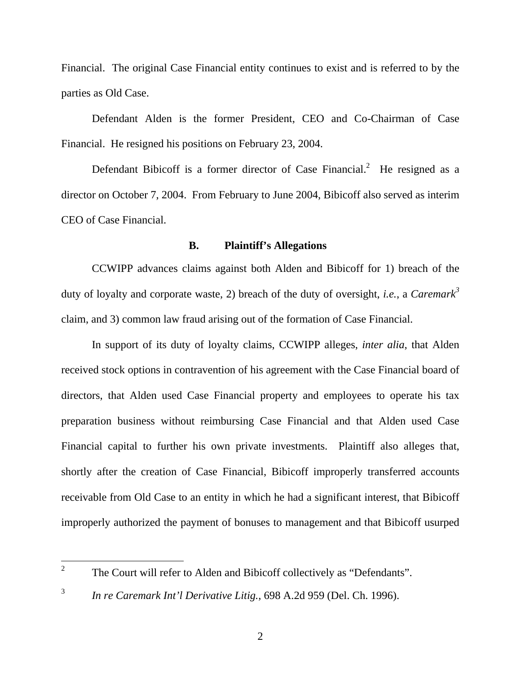Financial. The original Case Financial entity continues to exist and is referred to by the parties as Old Case.

Defendant Alden is the former President, CEO and Co-Chairman of Case Financial. He resigned his positions on February 23, 2004.

Defendant Bibicoff is a former director of Case Financial.<sup>2</sup> He resigned as a director on October 7, 2004. From February to June 2004, Bibicoff also served as interim CEO of Case Financial.

## **B. Plaintiff's Allegations**

CCWIPP advances claims against both Alden and Bibicoff for 1) breach of the duty of loyalty and corporate waste, 2) breach of the duty of oversight, *i.e.*, a *Caremark<sup>3</sup>* claim, and 3) common law fraud arising out of the formation of Case Financial.

In support of its duty of loyalty claims, CCWIPP alleges, *inter alia*, that Alden received stock options in contravention of his agreement with the Case Financial board of directors, that Alden used Case Financial property and employees to operate his tax preparation business without reimbursing Case Financial and that Alden used Case Financial capital to further his own private investments. Plaintiff also alleges that, shortly after the creation of Case Financial, Bibicoff improperly transferred accounts receivable from Old Case to an entity in which he had a significant interest, that Bibicoff improperly authorized the payment of bonuses to management and that Bibicoff usurped

 $\overline{a}$ 

<sup>2</sup> The Court will refer to Alden and Bibicoff collectively as "Defendants".

<sup>3</sup> *In re Caremark Int'l Derivative Litig.*, 698 A.2d 959 (Del. Ch. 1996).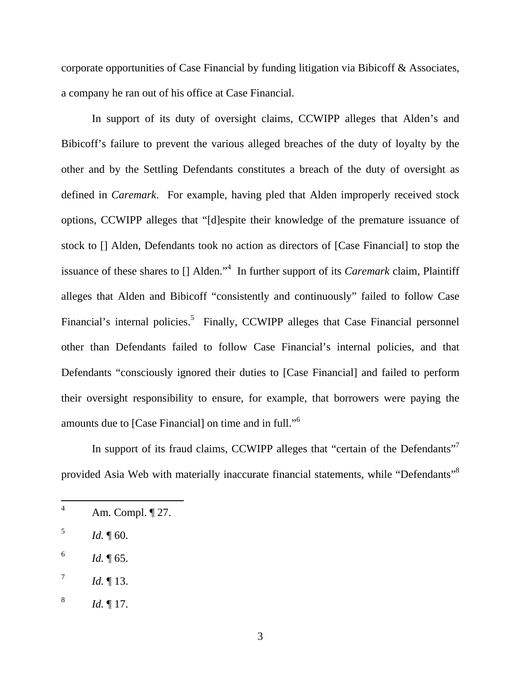corporate opportunities of Case Financial by funding litigation via Bibicoff & Associates, a company he ran out of his office at Case Financial.

In support of its duty of oversight claims, CCWIPP alleges that Alden's and Bibicoff's failure to prevent the various alleged breaches of the duty of loyalty by the other and by the Settling Defendants constitutes a breach of the duty of oversight as defined in *Caremark*. For example, having pled that Alden improperly received stock options, CCWIPP alleges that "[d]espite their knowledge of the premature issuance of stock to [] Alden, Defendants took no action as directors of [Case Financial] to stop the issuance of these shares to [] Alden."<sup>4</sup> In further support of its *Caremark* claim, Plaintiff alleges that Alden and Bibicoff "consistently and continuously" failed to follow Case Financial's internal policies.<sup>5</sup> Finally, CCWIPP alleges that Case Financial personnel other than Defendants failed to follow Case Financial's internal policies, and that Defendants "consciously ignored their duties to [Case Financial] and failed to perform their oversight responsibility to ensure, for example, that borrowers were paying the amounts due to [Case Financial] on time and in full."6

In support of its fraud claims, CCWIPP alleges that "certain of the Defendants"<sup>7</sup> provided Asia Web with materially inaccurate financial statements, while "Defendants"8

 $1d. \P 60.$ 

 $\overline{a}$ 

 $1d. \P 65.$ 

<sup>4</sup> Am. Compl. ¶ 27.

 $^{7}$  *Id.* 13.

<sup>8</sup> *Id.* ¶ 17.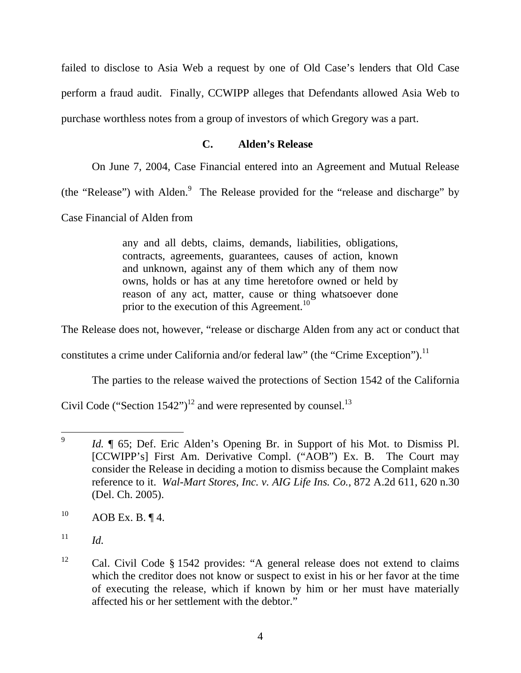failed to disclose to Asia Web a request by one of Old Case's lenders that Old Case perform a fraud audit. Finally, CCWIPP alleges that Defendants allowed Asia Web to purchase worthless notes from a group of investors of which Gregory was a part.

# **C. Alden's Release**

On June 7, 2004, Case Financial entered into an Agreement and Mutual Release

(the "Release") with Alden. $9$  The Release provided for the "release and discharge" by

Case Financial of Alden from

any and all debts, claims, demands, liabilities, obligations, contracts, agreements, guarantees, causes of action, known and unknown, against any of them which any of them now owns, holds or has at any time heretofore owned or held by reason of any act, matter, cause or thing whatsoever done prior to the execution of this Agreement.<sup>10</sup>

The Release does not, however, "release or discharge Alden from any act or conduct that

constitutes a crime under California and/or federal law" (the "Crime Exception").<sup>11</sup>

The parties to the release waived the protections of Section 1542 of the California

Civil Code ("Section  $1542$ ")<sup>12</sup> and were represented by counsel.<sup>13</sup>

 $\overline{9}$ *Id.*  $\parallel$  65; Def. Eric Alden's Opening Br. in Support of his Mot. to Dismiss Pl. [CCWIPP's] First Am. Derivative Compl. ("AOB") Ex. B. The Court may consider the Release in deciding a motion to dismiss because the Complaint makes reference to it. *Wal-Mart Stores, Inc. v. AIG Life Ins. Co.*, 872 A.2d 611, 620 n.30 (Del. Ch. 2005).

 $^{10}$  AOB Ex. B.  $\P$  4.

 $11$  *Id.* 

<sup>&</sup>lt;sup>12</sup> Cal. Civil Code  $\S$  1542 provides: "A general release does not extend to claims which the creditor does not know or suspect to exist in his or her favor at the time of executing the release, which if known by him or her must have materially affected his or her settlement with the debtor."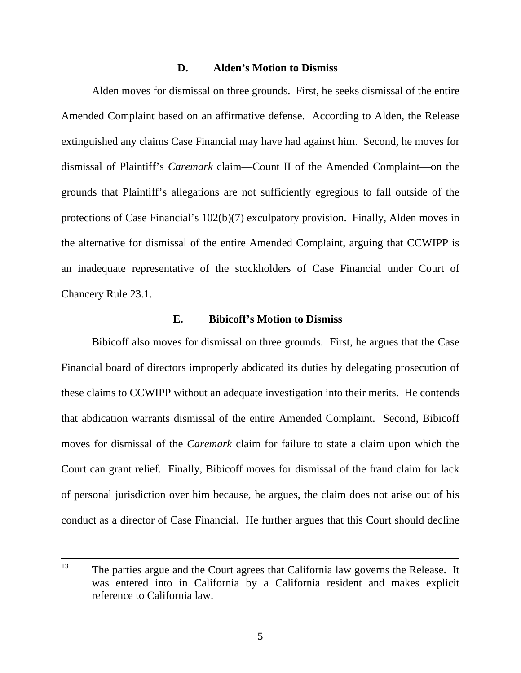#### **D. Alden's Motion to Dismiss**

Alden moves for dismissal on three grounds. First, he seeks dismissal of the entire Amended Complaint based on an affirmative defense. According to Alden, the Release extinguished any claims Case Financial may have had against him. Second, he moves for dismissal of Plaintiff's *Caremark* claim—Count II of the Amended Complaint—on the grounds that Plaintiff's allegations are not sufficiently egregious to fall outside of the protections of Case Financial's 102(b)(7) exculpatory provision. Finally, Alden moves in the alternative for dismissal of the entire Amended Complaint, arguing that CCWIPP is an inadequate representative of the stockholders of Case Financial under Court of Chancery Rule 23.1.

## **E. Bibicoff's Motion to Dismiss**

Bibicoff also moves for dismissal on three grounds. First, he argues that the Case Financial board of directors improperly abdicated its duties by delegating prosecution of these claims to CCWIPP without an adequate investigation into their merits. He contends that abdication warrants dismissal of the entire Amended Complaint. Second, Bibicoff moves for dismissal of the *Caremark* claim for failure to state a claim upon which the Court can grant relief. Finally, Bibicoff moves for dismissal of the fraud claim for lack of personal jurisdiction over him because, he argues, the claim does not arise out of his conduct as a director of Case Financial. He further argues that this Court should decline

<sup>&</sup>lt;sup>13</sup> The parties argue and the Court agrees that California law governs the Release. It was entered into in California by a California resident and makes explicit reference to California law.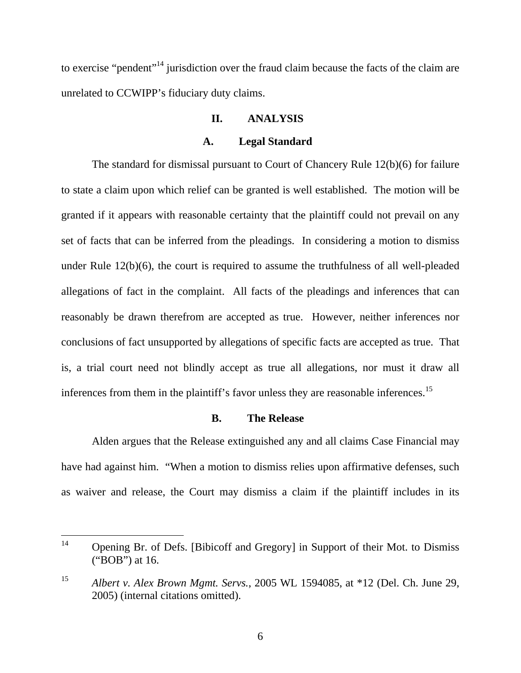to exercise "pendent"<sup>14</sup> jurisdiction over the fraud claim because the facts of the claim are unrelated to CCWIPP's fiduciary duty claims.

#### **II. ANALYSIS**

## **A. Legal Standard**

The standard for dismissal pursuant to Court of Chancery Rule 12(b)(6) for failure to state a claim upon which relief can be granted is well established. The motion will be granted if it appears with reasonable certainty that the plaintiff could not prevail on any set of facts that can be inferred from the pleadings. In considering a motion to dismiss under Rule 12(b)(6), the court is required to assume the truthfulness of all well-pleaded allegations of fact in the complaint. All facts of the pleadings and inferences that can reasonably be drawn therefrom are accepted as true. However, neither inferences nor conclusions of fact unsupported by allegations of specific facts are accepted as true. That is, a trial court need not blindly accept as true all allegations, nor must it draw all inferences from them in the plaintiff's favor unless they are reasonable inferences.<sup>15</sup>

#### **B. The Release**

Alden argues that the Release extinguished any and all claims Case Financial may have had against him. "When a motion to dismiss relies upon affirmative defenses, such as waiver and release, the Court may dismiss a claim if the plaintiff includes in its

 $14$ 14 Opening Br. of Defs. [Bibicoff and Gregory] in Support of their Mot. to Dismiss ("BOB") at 16.

<sup>15</sup> *Albert v. Alex Brown Mgmt. Servs.*, 2005 WL 1594085, at \*12 (Del. Ch. June 29, 2005) (internal citations omitted).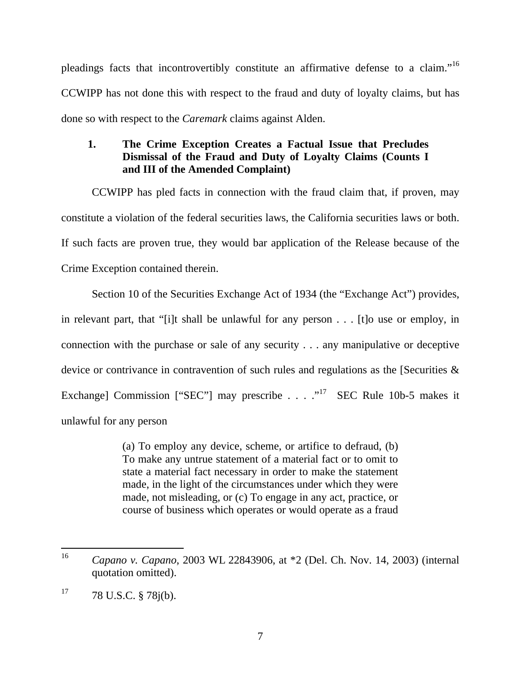pleadings facts that incontrovertibly constitute an affirmative defense to a claim."16 CCWIPP has not done this with respect to the fraud and duty of loyalty claims, but has done so with respect to the *Caremark* claims against Alden.

# **1. The Crime Exception Creates a Factual Issue that Precludes Dismissal of the Fraud and Duty of Loyalty Claims (Counts I and III of the Amended Complaint)**

CCWIPP has pled facts in connection with the fraud claim that, if proven, may constitute a violation of the federal securities laws, the California securities laws or both. If such facts are proven true, they would bar application of the Release because of the Crime Exception contained therein.

Section 10 of the Securities Exchange Act of 1934 (the "Exchange Act") provides, in relevant part, that "[i]t shall be unlawful for any person . . . [t]o use or employ, in connection with the purchase or sale of any security . . . any manipulative or deceptive device or contrivance in contravention of such rules and regulations as the [Securities & Exchange] Commission ["SEC"] may prescribe . . . .  $\cdot$   $\cdot$   $\cdot$  SEC Rule 10b-5 makes it unlawful for any person

> (a) To employ any device, scheme, or artifice to defraud, (b) To make any untrue statement of a material fact or to omit to state a material fact necessary in order to make the statement made, in the light of the circumstances under which they were made, not misleading, or (c) To engage in any act, practice, or course of business which operates or would operate as a fraud

<sup>16</sup> <sup>16</sup> *Capano v. Capano*, 2003 WL 22843906, at \*2 (Del. Ch. Nov. 14, 2003) (internal quotation omitted).

 $17$  78 U.S.C. § 78j(b).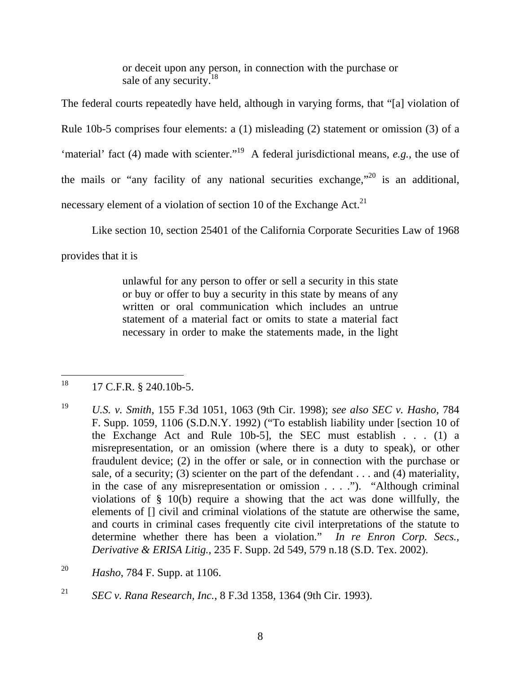or deceit upon any person, in connection with the purchase or sale of any security.<sup>18</sup>

The federal courts repeatedly have held, although in varying forms, that "[a] violation of Rule 10b-5 comprises four elements: a (1) misleading (2) statement or omission (3) of a 'material' fact (4) made with scienter."<sup>19</sup> A federal jurisdictional means, *e.g.*, the use of the mails or "any facility of any national securities exchange,"  $^{20}$  is an additional, necessary element of a violation of section 10 of the Exchange Act. $21$ 

Like section 10, section 25401 of the California Corporate Securities Law of 1968

provides that it is

unlawful for any person to offer or sell a security in this state or buy or offer to buy a security in this state by means of any written or oral communication which includes an untrue statement of a material fact or omits to state a material fact necessary in order to make the statements made, in the light

#### 18 18 17 C.F.R. § 240.10b-5.

- <sup>19</sup> *U.S. v. Smith*, 155 F.3d 1051, 1063 (9th Cir. 1998); *see also SEC v. Hasho*, 784 F. Supp. 1059, 1106 (S.D.N.Y. 1992) ("To establish liability under [section 10 of the Exchange Act and Rule 10b-5], the SEC must establish . . . (1) a misrepresentation, or an omission (where there is a duty to speak), or other fraudulent device; (2) in the offer or sale, or in connection with the purchase or sale, of a security; (3) scienter on the part of the defendant  $\dots$  and (4) materiality, in the case of any misrepresentation or omission . . . ."). "Although criminal violations of § 10(b) require a showing that the act was done willfully, the elements of [] civil and criminal violations of the statute are otherwise the same, and courts in criminal cases frequently cite civil interpretations of the statute to determine whether there has been a violation." *In re Enron Corp. Secs., Derivative & ERISA Litig.*, 235 F. Supp. 2d 549, 579 n.18 (S.D. Tex. 2002).
- <sup>20</sup> *Hasho*, 784 F. Supp. at 1106.
- <sup>21</sup> *SEC v. Rana Research, Inc.*, 8 F.3d 1358, 1364 (9th Cir. 1993).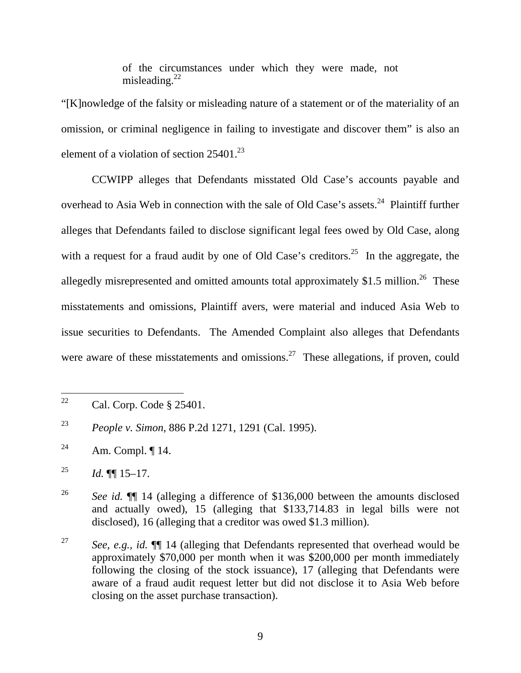of the circumstances under which they were made, not misleading. $^{22}$ 

"[K]nowledge of the falsity or misleading nature of a statement or of the materiality of an omission, or criminal negligence in failing to investigate and discover them" is also an element of a violation of section  $25401^{23}$ 

CCWIPP alleges that Defendants misstated Old Case's accounts payable and overhead to Asia Web in connection with the sale of Old Case's assets.<sup>24</sup> Plaintiff further alleges that Defendants failed to disclose significant legal fees owed by Old Case, along with a request for a fraud audit by one of Old Case's creditors.<sup>25</sup> In the aggregate, the allegedly misrepresented and omitted amounts total approximately \$1.5 million.<sup>26</sup> These misstatements and omissions, Plaintiff avers, were material and induced Asia Web to issue securities to Defendants. The Amended Complaint also alleges that Defendants were aware of these misstatements and omissions.<sup>27</sup> These allegations, if proven, could

<sup>22</sup> Cal. Corp. Code § 25401.

<sup>23</sup> *People v. Simon*, 886 P.2d 1271, 1291 (Cal. 1995).

<sup>&</sup>lt;sup>24</sup> Am. Compl.  $\P$  14.

<sup>&</sup>lt;sup>25</sup> *Id.* ¶[  $15-17$ .

<sup>&</sup>lt;sup>26</sup> *See id.*  $\P$  14 (alleging a difference of \$136,000 between the amounts disclosed and actually owed), 15 (alleging that \$133,714.83 in legal bills were not disclosed), 16 (alleging that a creditor was owed \$1.3 million).

<sup>27</sup> *See, e.g., id.* ¶¶ 14 (alleging that Defendants represented that overhead would be approximately \$70,000 per month when it was \$200,000 per month immediately following the closing of the stock issuance), 17 (alleging that Defendants were aware of a fraud audit request letter but did not disclose it to Asia Web before closing on the asset purchase transaction).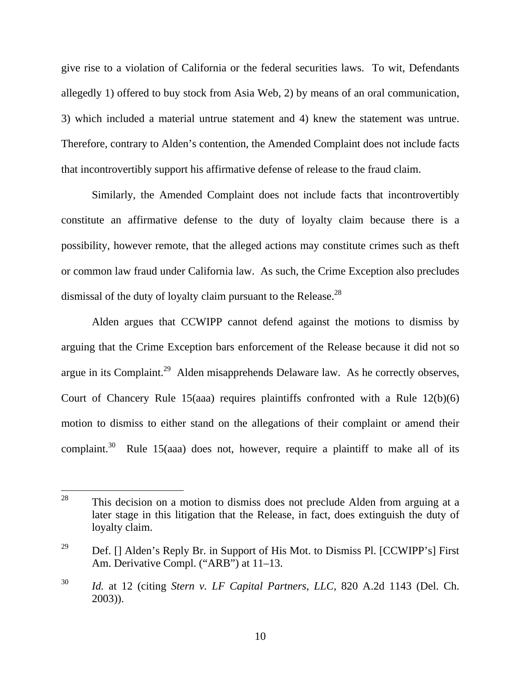give rise to a violation of California or the federal securities laws. To wit, Defendants allegedly 1) offered to buy stock from Asia Web, 2) by means of an oral communication, 3) which included a material untrue statement and 4) knew the statement was untrue. Therefore, contrary to Alden's contention, the Amended Complaint does not include facts that incontrovertibly support his affirmative defense of release to the fraud claim.

Similarly, the Amended Complaint does not include facts that incontrovertibly constitute an affirmative defense to the duty of loyalty claim because there is a possibility, however remote, that the alleged actions may constitute crimes such as theft or common law fraud under California law. As such, the Crime Exception also precludes dismissal of the duty of loyalty claim pursuant to the Release.<sup>28</sup>

Alden argues that CCWIPP cannot defend against the motions to dismiss by arguing that the Crime Exception bars enforcement of the Release because it did not so argue in its Complaint.29 Alden misapprehends Delaware law. As he correctly observes, Court of Chancery Rule 15(aaa) requires plaintiffs confronted with a Rule 12(b)(6) motion to dismiss to either stand on the allegations of their complaint or amend their complaint. $30$  Rule 15(aaa) does not, however, require a plaintiff to make all of its

<sup>&</sup>lt;sup>28</sup> This decision on a motion to dismiss does not preclude Alden from arguing at a later stage in this litigation that the Release, in fact, does extinguish the duty of loyalty claim.

<sup>&</sup>lt;sup>29</sup> Def. [] Alden's Reply Br. in Support of His Mot. to Dismiss Pl. [CCWIPP's] First Am. Derivative Compl. ("ARB") at 11–13.

<sup>30</sup> *Id.* at 12 (citing *Stern v. LF Capital Partners, LLC*, 820 A.2d 1143 (Del. Ch. 2003)).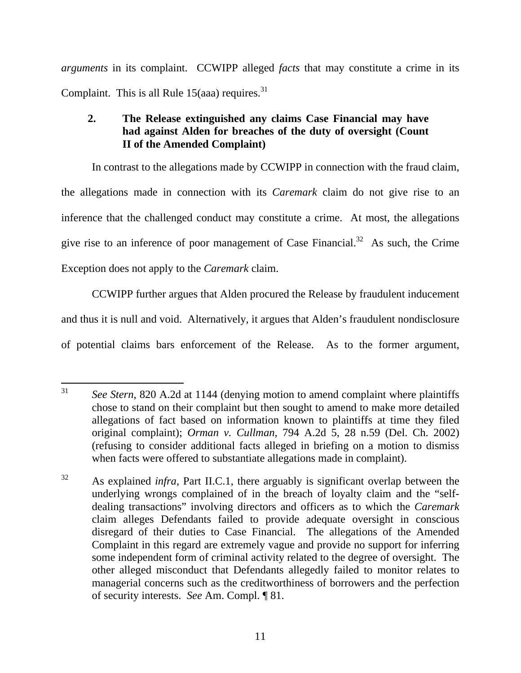*arguments* in its complaint. CCWIPP alleged *facts* that may constitute a crime in its Complaint. This is all Rule  $15(aaa)$  requires.<sup>31</sup>

# **2. The Release extinguished any claims Case Financial may have had against Alden for breaches of the duty of oversight (Count II of the Amended Complaint)**

In contrast to the allegations made by CCWIPP in connection with the fraud claim, the allegations made in connection with its *Caremark* claim do not give rise to an inference that the challenged conduct may constitute a crime. At most, the allegations give rise to an inference of poor management of Case Financial.<sup>32</sup> As such, the Crime Exception does not apply to the *Caremark* claim.

CCWIPP further argues that Alden procured the Release by fraudulent inducement and thus it is null and void. Alternatively, it argues that Alden's fraudulent nondisclosure of potential claims bars enforcement of the Release. As to the former argument,

 $31$ See Stern, 820 A.2d at 1144 (denying motion to amend complaint where plaintiffs chose to stand on their complaint but then sought to amend to make more detailed allegations of fact based on information known to plaintiffs at time they filed original complaint); *Orman v. Cullman*, 794 A.2d 5, 28 n.59 (Del. Ch. 2002) (refusing to consider additional facts alleged in briefing on a motion to dismiss when facts were offered to substantiate allegations made in complaint).

<sup>&</sup>lt;sup>32</sup> As explained *infra*, Part II.C.1, there arguably is significant overlap between the underlying wrongs complained of in the breach of loyalty claim and the "selfdealing transactions" involving directors and officers as to which the *Caremark* claim alleges Defendants failed to provide adequate oversight in conscious disregard of their duties to Case Financial. The allegations of the Amended Complaint in this regard are extremely vague and provide no support for inferring some independent form of criminal activity related to the degree of oversight. The other alleged misconduct that Defendants allegedly failed to monitor relates to managerial concerns such as the creditworthiness of borrowers and the perfection of security interests. *See* Am. Compl. ¶ 81.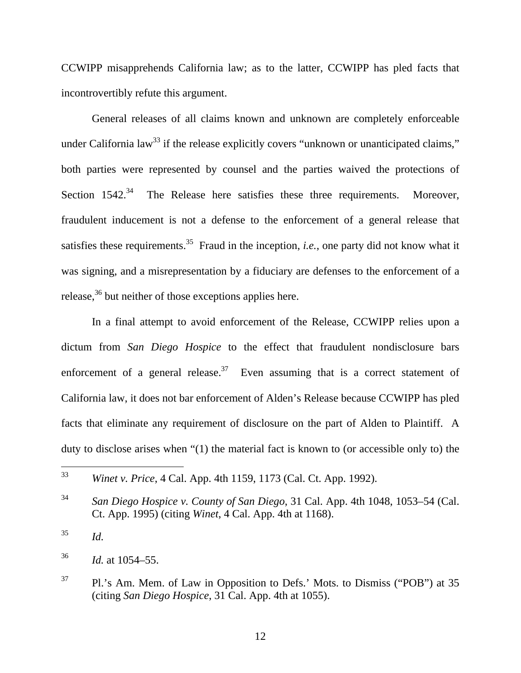CCWIPP misapprehends California law; as to the latter, CCWIPP has pled facts that incontrovertibly refute this argument.

General releases of all claims known and unknown are completely enforceable under California law<sup>33</sup> if the release explicitly covers "unknown or unanticipated claims," both parties were represented by counsel and the parties waived the protections of Section  $1542<sup>34</sup>$  The Release here satisfies these three requirements. Moreover, fraudulent inducement is not a defense to the enforcement of a general release that satisfies these requirements.<sup>35</sup> Fraud in the inception, *i.e.*, one party did not know what it was signing, and a misrepresentation by a fiduciary are defenses to the enforcement of a release,<sup>36</sup> but neither of those exceptions applies here.

In a final attempt to avoid enforcement of the Release, CCWIPP relies upon a dictum from *San Diego Hospice* to the effect that fraudulent nondisclosure bars enforcement of a general release.<sup>37</sup> Even assuming that is a correct statement of California law, it does not bar enforcement of Alden's Release because CCWIPP has pled facts that eliminate any requirement of disclosure on the part of Alden to Plaintiff. A duty to disclose arises when "(1) the material fact is known to (or accessible only to) the

<sup>35</sup> *Id.* 

<sup>36</sup> *Id.* at 1054–55.

<sup>33</sup> <sup>33</sup> *Winet v. Price*, 4 Cal. App. 4th 1159, 1173 (Cal. Ct. App. 1992).

<sup>34</sup> *San Diego Hospice v. County of San Diego*, 31 Cal. App. 4th 1048, 1053–54 (Cal. Ct. App. 1995) (citing *Winet*, 4 Cal. App. 4th at 1168).

<sup>&</sup>lt;sup>37</sup> Pl.'s Am. Mem. of Law in Opposition to Defs.' Mots. to Dismiss ("POB") at 35 (citing *San Diego Hospice*, 31 Cal. App. 4th at 1055).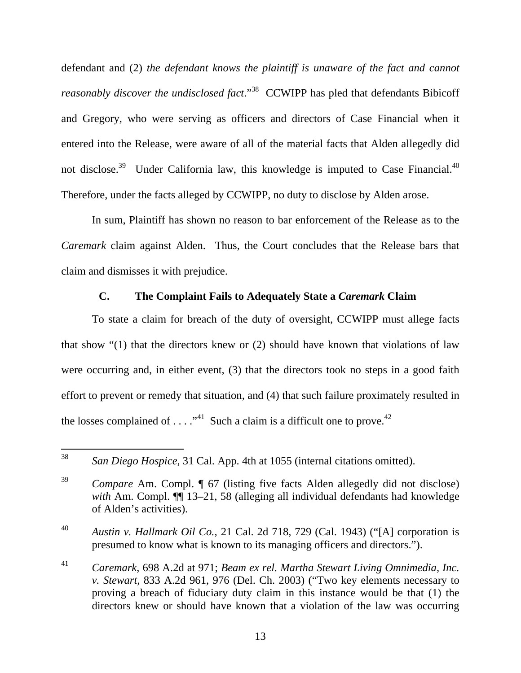defendant and (2) *the defendant knows the plaintiff is unaware of the fact and cannot reasonably discover the undisclosed fact.*"<sup>38</sup> CCWIPP has pled that defendants Bibicoff and Gregory, who were serving as officers and directors of Case Financial when it entered into the Release, were aware of all of the material facts that Alden allegedly did not disclose.<sup>39</sup> Under California law, this knowledge is imputed to Case Financial.<sup>40</sup> Therefore, under the facts alleged by CCWIPP, no duty to disclose by Alden arose.

In sum, Plaintiff has shown no reason to bar enforcement of the Release as to the *Caremark* claim against Alden. Thus, the Court concludes that the Release bars that claim and dismisses it with prejudice.

# **C. The Complaint Fails to Adequately State a** *Caremark* **Claim**

To state a claim for breach of the duty of oversight, CCWIPP must allege facts that show "(1) that the directors knew or (2) should have known that violations of law were occurring and, in either event, (3) that the directors took no steps in a good faith effort to prevent or remedy that situation, and (4) that such failure proximately resulted in the losses complained of ...  $\cdot$ <sup>41</sup> Such a claim is a difficult one to prove.<sup>42</sup>

<sup>40</sup> *Austin v. Hallmark Oil Co.*, 21 Cal. 2d 718, 729 (Cal. 1943) ("[A] corporation is presumed to know what is known to its managing officers and directors.").

<sup>41</sup> *Caremark*, 698 A.2d at 971; *Beam ex rel. Martha Stewart Living Omnimedia, Inc. v. Stewart*, 833 A.2d 961, 976 (Del. Ch. 2003) ("Two key elements necessary to proving a breach of fiduciary duty claim in this instance would be that (1) the directors knew or should have known that a violation of the law was occurring

<sup>38</sup> San Diego Hospice, 31 Cal. App. 4th at 1055 (internal citations omitted).

<sup>39</sup> *Compare* Am. Compl. ¶ 67 (listing five facts Alden allegedly did not disclose) *with* Am. Compl. ¶¶ 13–21, 58 (alleging all individual defendants had knowledge of Alden's activities).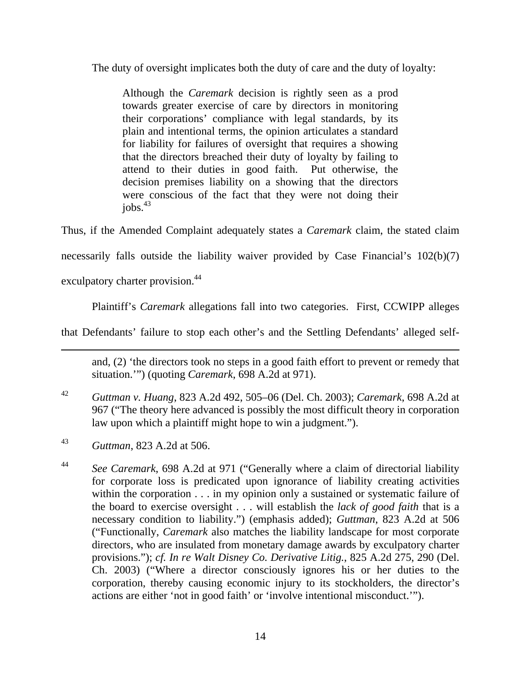The duty of oversight implicates both the duty of care and the duty of loyalty:

Although the *Caremark* decision is rightly seen as a prod towards greater exercise of care by directors in monitoring their corporations' compliance with legal standards, by its plain and intentional terms, the opinion articulates a standard for liability for failures of oversight that requires a showing that the directors breached their duty of loyalty by failing to attend to their duties in good faith. Put otherwise, the decision premises liability on a showing that the directors were conscious of the fact that they were not doing their  $i$ obs. $43$ 

Thus, if the Amended Complaint adequately states a *Caremark* claim, the stated claim

necessarily falls outside the liability waiver provided by Case Financial's 102(b)(7)

exculpatory charter provision.<sup>44</sup>

 $\overline{a}$ 

Plaintiff's *Caremark* allegations fall into two categories. First, CCWIPP alleges

that Defendants' failure to stop each other's and the Settling Defendants' alleged self-

and, (2) 'the directors took no steps in a good faith effort to prevent or remedy that situation.'") (quoting *Caremark*, 698 A.2d at 971).

- <sup>42</sup> *Guttman v. Huang*, 823 A.2d 492, 505–06 (Del. Ch. 2003); *Caremark*, 698 A.2d at 967 ("The theory here advanced is possibly the most difficult theory in corporation law upon which a plaintiff might hope to win a judgment.").
- <sup>43</sup> *Guttman*, 823 A.2d at 506.
- <sup>44</sup> *See Caremark*, 698 A.2d at 971 ("Generally where a claim of directorial liability for corporate loss is predicated upon ignorance of liability creating activities within the corporation . . . in my opinion only a sustained or systematic failure of the board to exercise oversight . . . will establish the *lack of good faith* that is a necessary condition to liability.") (emphasis added); *Guttman*, 823 A.2d at 506 ("Functionally, *Caremark* also matches the liability landscape for most corporate directors, who are insulated from monetary damage awards by exculpatory charter provisions."); *cf. In re Walt Disney Co. Derivative Litig.*, 825 A.2d 275, 290 (Del. Ch. 2003) ("Where a director consciously ignores his or her duties to the corporation, thereby causing economic injury to its stockholders, the director's actions are either 'not in good faith' or 'involve intentional misconduct.'").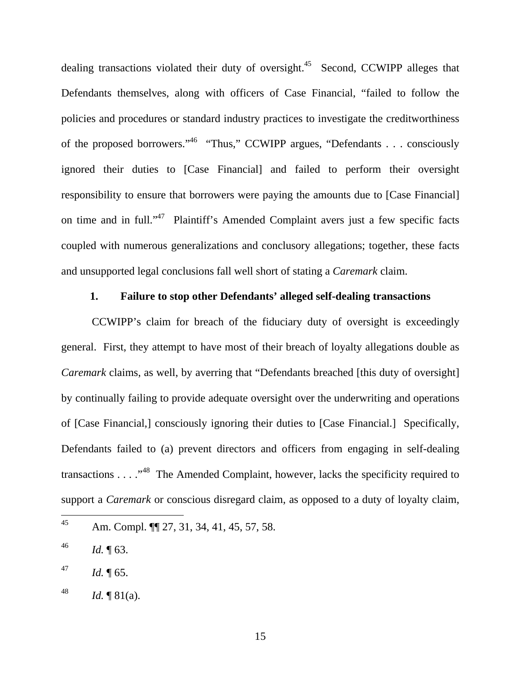dealing transactions violated their duty of oversight.<sup>45</sup> Second, CCWIPP alleges that Defendants themselves, along with officers of Case Financial, "failed to follow the policies and procedures or standard industry practices to investigate the creditworthiness of the proposed borrowers."<sup>46</sup> "Thus," CCWIPP argues, "Defendants . . . consciously ignored their duties to [Case Financial] and failed to perform their oversight responsibility to ensure that borrowers were paying the amounts due to [Case Financial] on time and in full."47 Plaintiff's Amended Complaint avers just a few specific facts coupled with numerous generalizations and conclusory allegations; together, these facts and unsupported legal conclusions fall well short of stating a *Caremark* claim.

# **1. Failure to stop other Defendants' alleged self-dealing transactions**

CCWIPP's claim for breach of the fiduciary duty of oversight is exceedingly general. First, they attempt to have most of their breach of loyalty allegations double as *Caremark* claims, as well, by averring that "Defendants breached [this duty of oversight] by continually failing to provide adequate oversight over the underwriting and operations of [Case Financial,] consciously ignoring their duties to [Case Financial.] Specifically, Defendants failed to (a) prevent directors and officers from engaging in self-dealing transactions . . . ."48 The Amended Complaint, however, lacks the specificity required to support a *Caremark* or conscious disregard claim, as opposed to a duty of loyalty claim,

<sup>45</sup> Am. Compl.  $\P$ [27, 31, 34, 41, 45, 57, 58.

<sup>46</sup> *Id.* ¶ 63.

 $^{47}$  *Id.*  $\sqrt{65}$ .

<sup>48</sup> *Id.*  $\P 81(a)$ .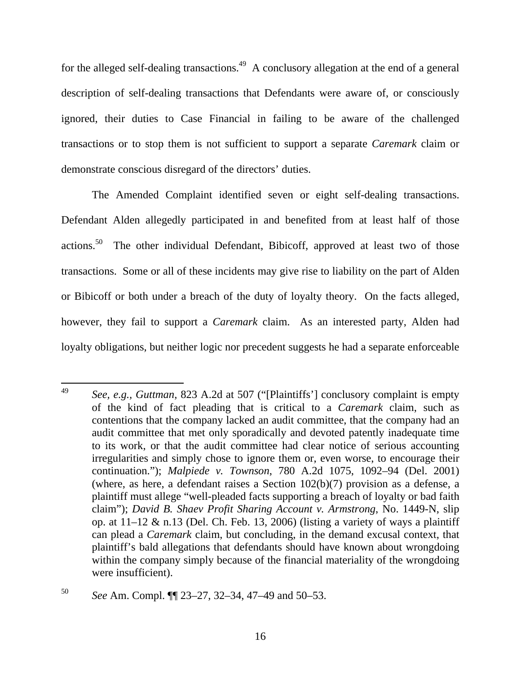for the alleged self-dealing transactions.<sup>49</sup> A conclusory allegation at the end of a general description of self-dealing transactions that Defendants were aware of, or consciously ignored, their duties to Case Financial in failing to be aware of the challenged transactions or to stop them is not sufficient to support a separate *Caremark* claim or demonstrate conscious disregard of the directors' duties.

The Amended Complaint identified seven or eight self-dealing transactions. Defendant Alden allegedly participated in and benefited from at least half of those actions.50 The other individual Defendant, Bibicoff, approved at least two of those transactions. Some or all of these incidents may give rise to liability on the part of Alden or Bibicoff or both under a breach of the duty of loyalty theory. On the facts alleged, however, they fail to support a *Caremark* claim. As an interested party, Alden had loyalty obligations, but neither logic nor precedent suggests he had a separate enforceable

<sup>49</sup> <sup>49</sup> *See, e.g., Guttman*, 823 A.2d at 507 ("[Plaintiffs'] conclusory complaint is empty of the kind of fact pleading that is critical to a *Caremark* claim, such as contentions that the company lacked an audit committee, that the company had an audit committee that met only sporadically and devoted patently inadequate time to its work, or that the audit committee had clear notice of serious accounting irregularities and simply chose to ignore them or, even worse, to encourage their continuation."); *Malpiede v. Townson*, 780 A.2d 1075, 1092–94 (Del. 2001) (where, as here, a defendant raises a Section 102(b)(7) provision as a defense, a plaintiff must allege "well-pleaded facts supporting a breach of loyalty or bad faith claim"); *David B. Shaev Profit Sharing Account v. Armstrong*, No. 1449-N, slip op. at  $11-12 \& n.13$  (Del. Ch. Feb. 13, 2006) (listing a variety of ways a plaintiff can plead a *Caremark* claim, but concluding, in the demand excusal context, that plaintiff's bald allegations that defendants should have known about wrongdoing within the company simply because of the financial materiality of the wrongdoing were insufficient).

<sup>50</sup> *See* Am. Compl. ¶¶ 23–27, 32–34, 47–49 and 50–53.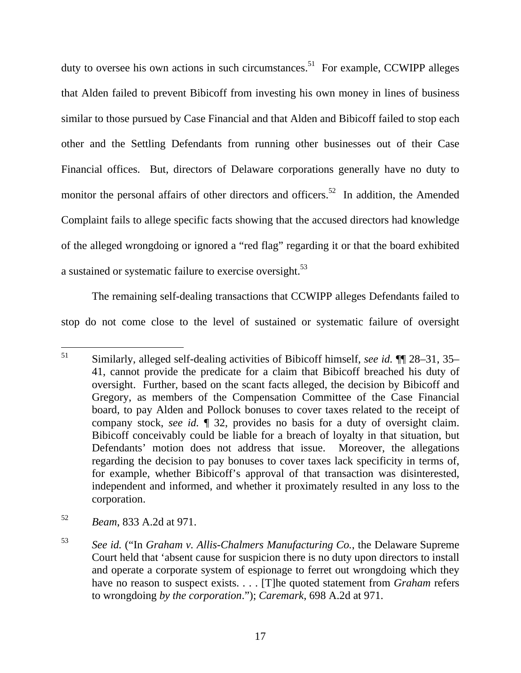duty to oversee his own actions in such circumstances.<sup>51</sup> For example, CCWIPP alleges that Alden failed to prevent Bibicoff from investing his own money in lines of business similar to those pursued by Case Financial and that Alden and Bibicoff failed to stop each other and the Settling Defendants from running other businesses out of their Case Financial offices. But, directors of Delaware corporations generally have no duty to monitor the personal affairs of other directors and officers.<sup>52</sup> In addition, the Amended Complaint fails to allege specific facts showing that the accused directors had knowledge of the alleged wrongdoing or ignored a "red flag" regarding it or that the board exhibited a sustained or systematic failure to exercise oversight.<sup>53</sup>

The remaining self-dealing transactions that CCWIPP alleges Defendants failed to stop do not come close to the level of sustained or systematic failure of oversight

<sup>51</sup> 51 Similarly, alleged self-dealing activities of Bibicoff himself, *see id.* ¶¶ 28–31, 35– 41, cannot provide the predicate for a claim that Bibicoff breached his duty of oversight. Further, based on the scant facts alleged, the decision by Bibicoff and Gregory, as members of the Compensation Committee of the Case Financial board, to pay Alden and Pollock bonuses to cover taxes related to the receipt of company stock, *see id.* ¶ 32, provides no basis for a duty of oversight claim. Bibicoff conceivably could be liable for a breach of loyalty in that situation, but Defendants' motion does not address that issue. Moreover, the allegations regarding the decision to pay bonuses to cover taxes lack specificity in terms of, for example, whether Bibicoff's approval of that transaction was disinterested, independent and informed, and whether it proximately resulted in any loss to the corporation.

<sup>52</sup> *Beam*, 833 A.2d at 971.

<sup>53</sup> *See id.* ("In *Graham v. Allis-Chalmers Manufacturing Co.*, the Delaware Supreme Court held that 'absent cause for suspicion there is no duty upon directors to install and operate a corporate system of espionage to ferret out wrongdoing which they have no reason to suspect exists. . . . [T]he quoted statement from *Graham* refers to wrongdoing *by the corporation*."); *Caremark*, 698 A.2d at 971.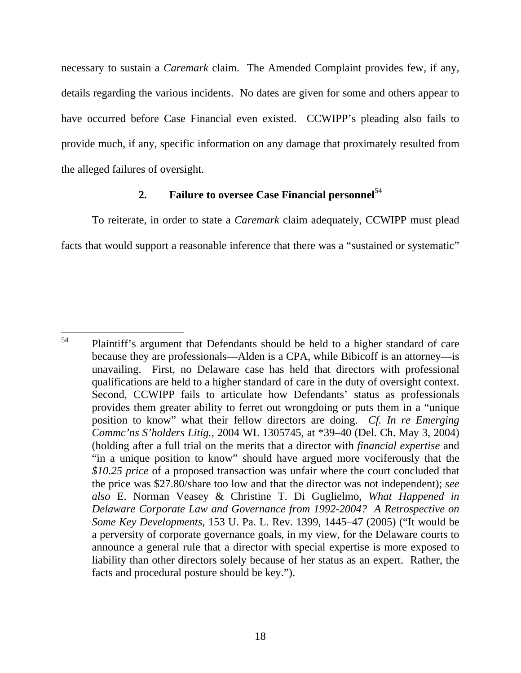necessary to sustain a *Caremark* claim. The Amended Complaint provides few, if any, details regarding the various incidents. No dates are given for some and others appear to have occurred before Case Financial even existed. CCWIPP's pleading also fails to provide much, if any, specific information on any damage that proximately resulted from the alleged failures of oversight.

# **2. Failure to oversee Case Financial personnel**<sup>54</sup>

To reiterate, in order to state a *Caremark* claim adequately, CCWIPP must plead facts that would support a reasonable inference that there was a "sustained or systematic"

<sup>54</sup> Plaintiff's argument that Defendants should be held to a higher standard of care because they are professionals—Alden is a CPA, while Bibicoff is an attorney—is unavailing. First, no Delaware case has held that directors with professional qualifications are held to a higher standard of care in the duty of oversight context. Second, CCWIPP fails to articulate how Defendants' status as professionals provides them greater ability to ferret out wrongdoing or puts them in a "unique position to know" what their fellow directors are doing. *Cf. In re Emerging Commc'ns S'holders Litig.*, 2004 WL 1305745, at \*39–40 (Del. Ch. May 3, 2004) (holding after a full trial on the merits that a director with *financial expertise* and "in a unique position to know" should have argued more vociferously that the *\$10.25 price* of a proposed transaction was unfair where the court concluded that the price was \$27.80/share too low and that the director was not independent); *see also* E. Norman Veasey & Christine T. Di Guglielmo, *What Happened in Delaware Corporate Law and Governance from 1992-2004? A Retrospective on Some Key Developments*, 153 U. Pa. L. Rev. 1399, 1445–47 (2005) ("It would be a perversity of corporate governance goals, in my view, for the Delaware courts to announce a general rule that a director with special expertise is more exposed to liability than other directors solely because of her status as an expert. Rather, the facts and procedural posture should be key.").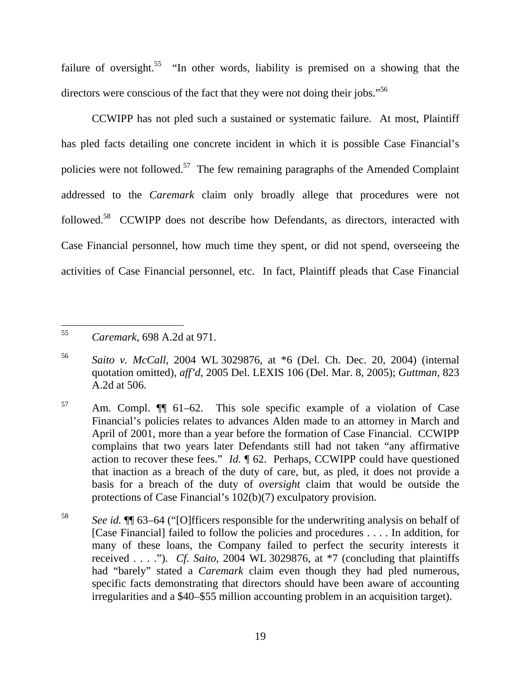failure of oversight.<sup>55</sup> "In other words, liability is premised on a showing that the directors were conscious of the fact that they were not doing their jobs."<sup>56</sup>

CCWIPP has not pled such a sustained or systematic failure. At most, Plaintiff has pled facts detailing one concrete incident in which it is possible Case Financial's policies were not followed.57 The few remaining paragraphs of the Amended Complaint addressed to the *Caremark* claim only broadly allege that procedures were not followed.58 CCWIPP does not describe how Defendants, as directors, interacted with Case Financial personnel, how much time they spent, or did not spend, overseeing the activities of Case Financial personnel, etc. In fact, Plaintiff pleads that Case Financial

<sup>55</sup> <sup>55</sup> *Caremark*, 698 A.2d at 971.

<sup>56</sup> *Saito v. McCall*, 2004 WL 3029876, at \*6 (Del. Ch. Dec. 20, 2004) (internal quotation omitted), *aff'd*, 2005 Del. LEXIS 106 (Del. Mar. 8, 2005); *Guttman*, 823 A.2d at 506.

<sup>57</sup> Am. Compl. ¶¶ 61–62. This sole specific example of a violation of Case Financial's policies relates to advances Alden made to an attorney in March and April of 2001, more than a year before the formation of Case Financial. CCWIPP complains that two years later Defendants still had not taken "any affirmative action to recover these fees." *Id.* ¶ 62. Perhaps, CCWIPP could have questioned that inaction as a breach of the duty of care, but, as pled, it does not provide a basis for a breach of the duty of *oversight* claim that would be outside the protections of Case Financial's 102(b)(7) exculpatory provision.

<sup>58</sup> *See id.* ¶¶ 63–64 ("[O]fficers responsible for the underwriting analysis on behalf of [Case Financial] failed to follow the policies and procedures . . . . In addition, for many of these loans, the Company failed to perfect the security interests it received . . . ."). *Cf. Saito*, 2004 WL 3029876, at \*7 (concluding that plaintiffs had "barely" stated a *Caremark* claim even though they had pled numerous, specific facts demonstrating that directors should have been aware of accounting irregularities and a \$40–\$55 million accounting problem in an acquisition target).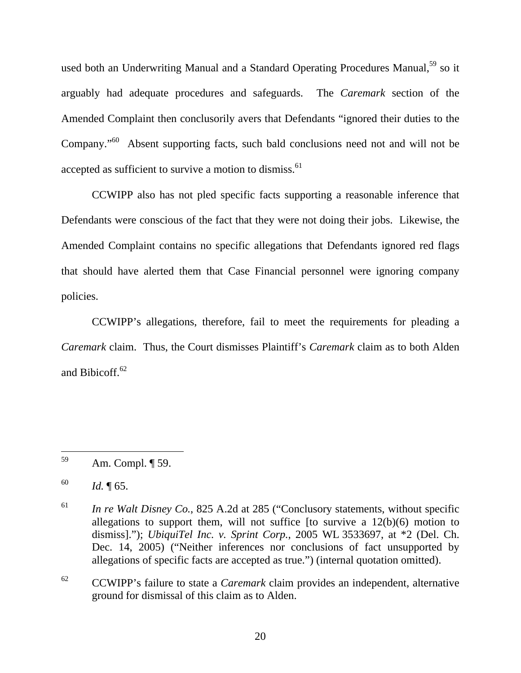used both an Underwriting Manual and a Standard Operating Procedures Manual,<sup>59</sup> so it arguably had adequate procedures and safeguards. The *Caremark* section of the Amended Complaint then conclusorily avers that Defendants "ignored their duties to the Company."60 Absent supporting facts, such bald conclusions need not and will not be accepted as sufficient to survive a motion to dismiss.<sup>61</sup>

CCWIPP also has not pled specific facts supporting a reasonable inference that Defendants were conscious of the fact that they were not doing their jobs. Likewise, the Amended Complaint contains no specific allegations that Defendants ignored red flags that should have alerted them that Case Financial personnel were ignoring company policies.

CCWIPP's allegations, therefore, fail to meet the requirements for pleading a *Caremark* claim. Thus, the Court dismisses Plaintiff's *Caremark* claim as to both Alden and Bibicoff.<sup>62</sup>

 $\overline{a}$ 

62 CCWIPP's failure to state a *Caremark* claim provides an independent, alternative ground for dismissal of this claim as to Alden.

<sup>59</sup> Am. Compl. ¶ 59.

<sup>60</sup> *Id.* ¶ 65.

<sup>61</sup> *In re Walt Disney Co.*, 825 A.2d at 285 ("Conclusory statements, without specific allegations to support them, will not suffice [to survive a  $12(b)(6)$  motion to dismiss]."); *UbiquiTel Inc. v. Sprint Corp.*, 2005 WL 3533697, at \*2 (Del. Ch. Dec. 14, 2005) ("Neither inferences nor conclusions of fact unsupported by allegations of specific facts are accepted as true.") (internal quotation omitted).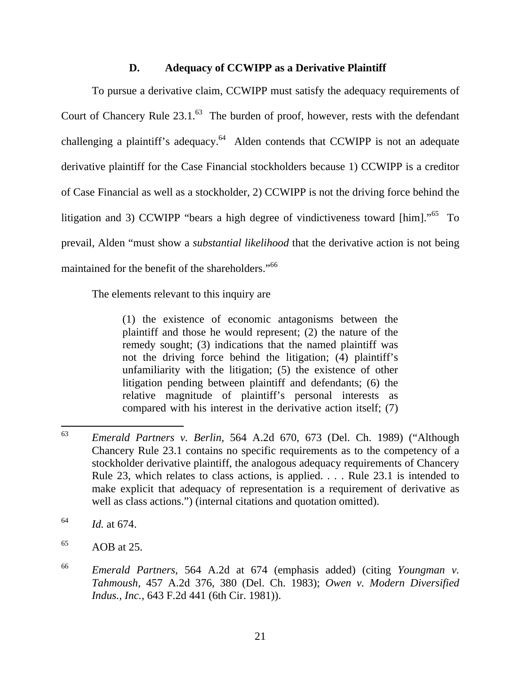# **D. Adequacy of CCWIPP as a Derivative Plaintiff**

To pursue a derivative claim, CCWIPP must satisfy the adequacy requirements of Court of Chancery Rule  $23.1$ .<sup>63</sup> The burden of proof, however, rests with the defendant challenging a plaintiff's adequacy.<sup>64</sup> Alden contends that CCWIPP is not an adequate derivative plaintiff for the Case Financial stockholders because 1) CCWIPP is a creditor of Case Financial as well as a stockholder, 2) CCWIPP is not the driving force behind the litigation and 3) CCWIPP "bears a high degree of vindictiveness toward [him]."<sup>65</sup> To prevail, Alden "must show a *substantial likelihood* that the derivative action is not being maintained for the benefit of the shareholders."<sup>66</sup>

The elements relevant to this inquiry are

(1) the existence of economic antagonisms between the plaintiff and those he would represent; (2) the nature of the remedy sought; (3) indications that the named plaintiff was not the driving force behind the litigation; (4) plaintiff's unfamiliarity with the litigation; (5) the existence of other litigation pending between plaintiff and defendants; (6) the relative magnitude of plaintiff's personal interests as compared with his interest in the derivative action itself; (7)

<sup>63</sup> <sup>63</sup> *Emerald Partners v. Berlin*, 564 A.2d 670, 673 (Del. Ch. 1989) ("Although Chancery Rule 23.1 contains no specific requirements as to the competency of a stockholder derivative plaintiff, the analogous adequacy requirements of Chancery Rule 23, which relates to class actions, is applied. . . . Rule 23.1 is intended to make explicit that adequacy of representation is a requirement of derivative as well as class actions.") (internal citations and quotation omitted).

<sup>64</sup> *Id.* at 674.

 $65$  AOB at 25.

<sup>66</sup> *Emerald Partners*, 564 A.2d at 674 (emphasis added) (citing *Youngman v. Tahmoush*, 457 A.2d 376, 380 (Del. Ch. 1983); *Owen v. Modern Diversified Indus., Inc.*, 643 F.2d 441 (6th Cir. 1981)).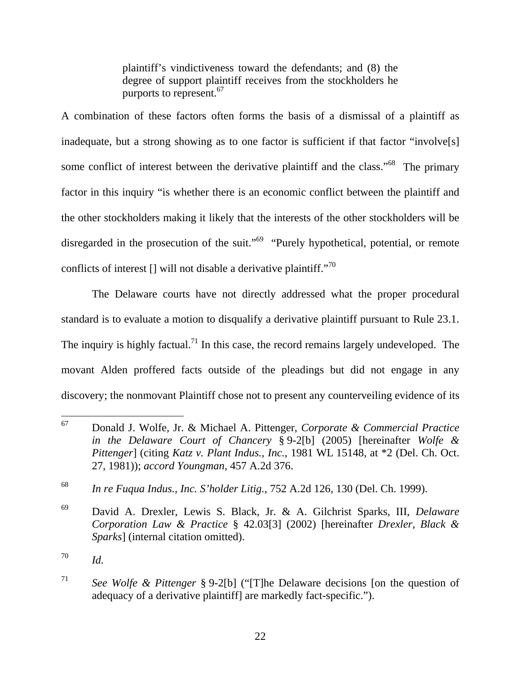plaintiff's vindictiveness toward the defendants; and (8) the degree of support plaintiff receives from the stockholders he purports to represent.<sup>67</sup>

A combination of these factors often forms the basis of a dismissal of a plaintiff as inadequate, but a strong showing as to one factor is sufficient if that factor "involve[s] some conflict of interest between the derivative plaintiff and the class."<sup>68</sup> The primary factor in this inquiry "is whether there is an economic conflict between the plaintiff and the other stockholders making it likely that the interests of the other stockholders will be disregarded in the prosecution of the suit."<sup>69</sup> "Purely hypothetical, potential, or remote conflicts of interest  $\left[\right]$  will not disable a derivative plaintiff."<sup>70</sup>

The Delaware courts have not directly addressed what the proper procedural standard is to evaluate a motion to disqualify a derivative plaintiff pursuant to Rule 23.1. The inquiry is highly factual.<sup>71</sup> In this case, the record remains largely undeveloped. The movant Alden proffered facts outside of the pleadings but did not engage in any discovery; the nonmovant Plaintiff chose not to present any counterveiling evidence of its

<sup>67</sup> 67 Donald J. Wolfe, Jr. & Michael A. Pittenger, *Corporate & Commercial Practice in the Delaware Court of Chancery* § 9-2[b] (2005) [hereinafter *Wolfe & Pittenger*] (citing *Katz v. Plant Indus., Inc.*, 1981 WL 15148, at \*2 (Del. Ch. Oct. 27, 1981)); *accord Youngman*, 457 A.2d 376.

<sup>68</sup> *In re Fuqua Indus., Inc. S'holder Litig.*, 752 A.2d 126, 130 (Del. Ch. 1999).

<sup>69</sup> David A. Drexler, Lewis S. Black, Jr. & A. Gilchrist Sparks, III, *Delaware Corporation Law & Practice* § 42.03[3] (2002) [hereinafter *Drexler, Black & Sparks*] (internal citation omitted).

<sup>70</sup> *Id.* 

<sup>71</sup> *See Wolfe & Pittenger* § 9-2[b] ("[T]he Delaware decisions [on the question of adequacy of a derivative plaintiff] are markedly fact-specific.").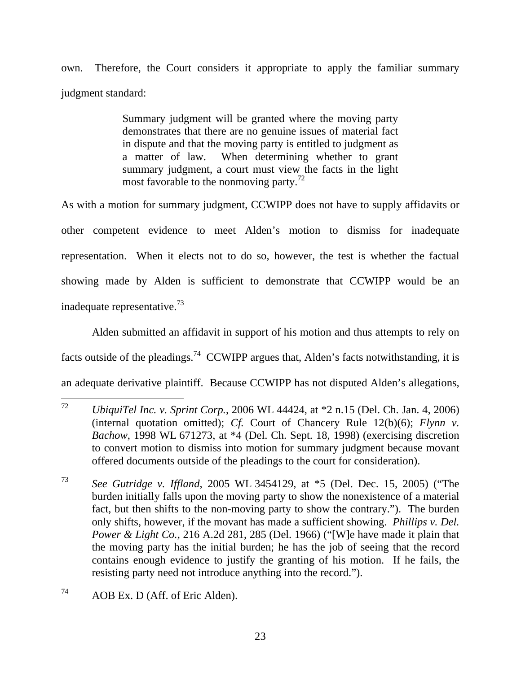own. Therefore, the Court considers it appropriate to apply the familiar summary judgment standard:

> Summary judgment will be granted where the moving party demonstrates that there are no genuine issues of material fact in dispute and that the moving party is entitled to judgment as a matter of law. When determining whether to grant summary judgment, a court must view the facts in the light most favorable to the nonmoving party.<sup>72</sup>

As with a motion for summary judgment, CCWIPP does not have to supply affidavits or other competent evidence to meet Alden's motion to dismiss for inadequate representation. When it elects not to do so, however, the test is whether the factual showing made by Alden is sufficient to demonstrate that CCWIPP would be an inadequate representative.73

Alden submitted an affidavit in support of his motion and thus attempts to rely on facts outside of the pleadings.<sup>74</sup> CCWIPP argues that, Alden's facts notwithstanding, it is an adequate derivative plaintiff. Because CCWIPP has not disputed Alden's allegations,

<sup>72</sup> <sup>72</sup> *UbiquiTel Inc. v. Sprint Corp.*, 2006 WL 44424, at \*2 n.15 (Del. Ch. Jan. 4, 2006) (internal quotation omitted); *Cf.* Court of Chancery Rule 12(b)(6); *Flynn v. Bachow*, 1998 WL 671273, at \*4 (Del. Ch. Sept. 18, 1998) (exercising discretion to convert motion to dismiss into motion for summary judgment because movant offered documents outside of the pleadings to the court for consideration).

<sup>73</sup> *See Gutridge v. Iffland*, 2005 WL 3454129, at \*5 (Del. Dec. 15, 2005) ("The burden initially falls upon the moving party to show the nonexistence of a material fact, but then shifts to the non-moving party to show the contrary."). The burden only shifts, however, if the movant has made a sufficient showing. *Phillips v. Del. Power & Light Co.*, 216 A.2d 281, 285 (Del. 1966) ("[W]e have made it plain that the moving party has the initial burden; he has the job of seeing that the record contains enough evidence to justify the granting of his motion. If he fails, the resisting party need not introduce anything into the record.").

<sup>74</sup> AOB Ex. D (Aff. of Eric Alden).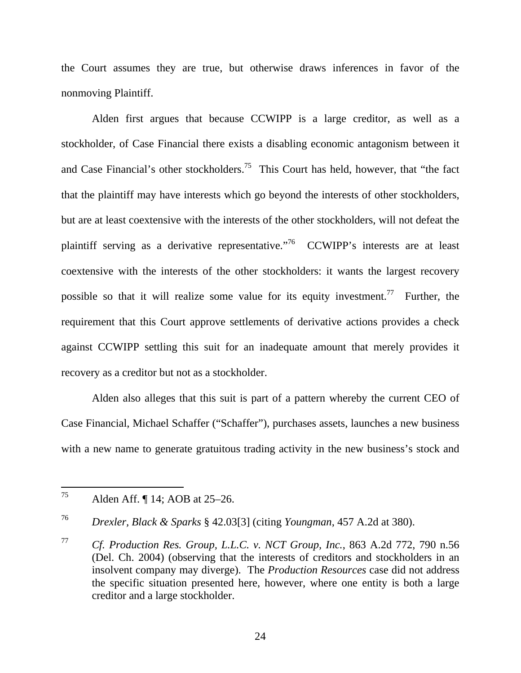the Court assumes they are true, but otherwise draws inferences in favor of the nonmoving Plaintiff.

Alden first argues that because CCWIPP is a large creditor, as well as a stockholder, of Case Financial there exists a disabling economic antagonism between it and Case Financial's other stockholders.<sup>75</sup> This Court has held, however, that "the fact" that the plaintiff may have interests which go beyond the interests of other stockholders, but are at least coextensive with the interests of the other stockholders, will not defeat the plaintiff serving as a derivative representative."76 CCWIPP's interests are at least coextensive with the interests of the other stockholders: it wants the largest recovery possible so that it will realize some value for its equity investment.<sup>77</sup> Further, the requirement that this Court approve settlements of derivative actions provides a check against CCWIPP settling this suit for an inadequate amount that merely provides it recovery as a creditor but not as a stockholder.

Alden also alleges that this suit is part of a pattern whereby the current CEO of Case Financial, Michael Schaffer ("Schaffer"), purchases assets, launches a new business with a new name to generate gratuitous trading activity in the new business's stock and

<sup>75</sup> Alden Aff. ¶ 14; AOB at 25–26.

<sup>76</sup> *Drexler, Black & Sparks* § 42.03[3] (citing *Youngman*, 457 A.2d at 380).

<sup>77</sup> *Cf. Production Res. Group, L.L.C. v. NCT Group, Inc.*, 863 A.2d 772, 790 n.56 (Del. Ch. 2004) (observing that the interests of creditors and stockholders in an insolvent company may diverge). The *Production Resources* case did not address the specific situation presented here, however, where one entity is both a large creditor and a large stockholder.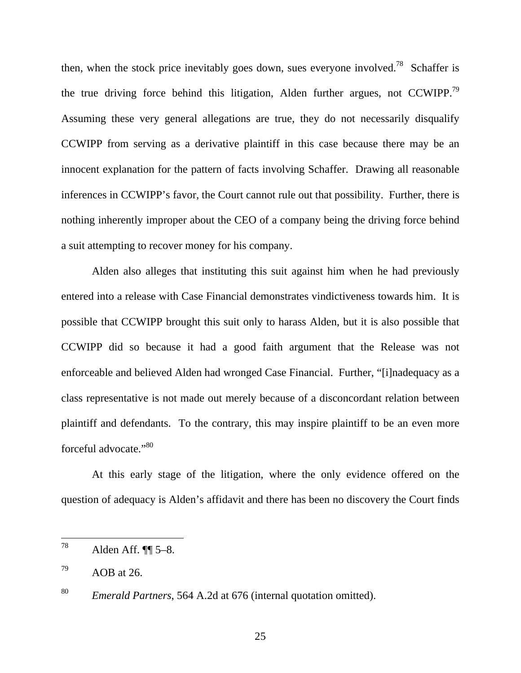then, when the stock price inevitably goes down, sues everyone involved.<sup>78</sup> Schaffer is the true driving force behind this litigation, Alden further argues, not CCWIPP.<sup>79</sup> Assuming these very general allegations are true, they do not necessarily disqualify CCWIPP from serving as a derivative plaintiff in this case because there may be an innocent explanation for the pattern of facts involving Schaffer. Drawing all reasonable inferences in CCWIPP's favor, the Court cannot rule out that possibility. Further, there is nothing inherently improper about the CEO of a company being the driving force behind a suit attempting to recover money for his company.

Alden also alleges that instituting this suit against him when he had previously entered into a release with Case Financial demonstrates vindictiveness towards him. It is possible that CCWIPP brought this suit only to harass Alden, but it is also possible that CCWIPP did so because it had a good faith argument that the Release was not enforceable and believed Alden had wronged Case Financial. Further, "[i]nadequacy as a class representative is not made out merely because of a disconcordant relation between plaintiff and defendants. To the contrary, this may inspire plaintiff to be an even more forceful advocate."<sup>80</sup>

At this early stage of the litigation, where the only evidence offered on the question of adequacy is Alden's affidavit and there has been no discovery the Court finds

<sup>78</sup> Alden Aff.  $\P$  $5-8$ .

 $^{79}$  AOB at 26.

<sup>80</sup> *Emerald Partners*, 564 A.2d at 676 (internal quotation omitted).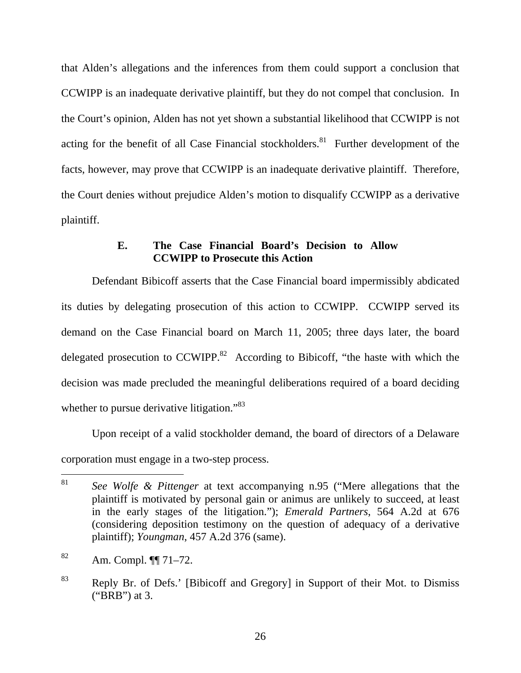that Alden's allegations and the inferences from them could support a conclusion that CCWIPP is an inadequate derivative plaintiff, but they do not compel that conclusion. In the Court's opinion, Alden has not yet shown a substantial likelihood that CCWIPP is not acting for the benefit of all Case Financial stockholders.<sup>81</sup> Further development of the facts, however, may prove that CCWIPP is an inadequate derivative plaintiff. Therefore, the Court denies without prejudice Alden's motion to disqualify CCWIPP as a derivative plaintiff.

# **E. The Case Financial Board's Decision to Allow CCWIPP to Prosecute this Action**

Defendant Bibicoff asserts that the Case Financial board impermissibly abdicated its duties by delegating prosecution of this action to CCWIPP. CCWIPP served its demand on the Case Financial board on March 11, 2005; three days later, the board delegated prosecution to  $CCWIPP<sup>82</sup>$  According to Bibicoff, "the haste with which the decision was made precluded the meaningful deliberations required of a board deciding whether to pursue derivative litigation."<sup>83</sup>

Upon receipt of a valid stockholder demand, the board of directors of a Delaware corporation must engage in a two-step process.

<sup>81</sup> <sup>81</sup> *See Wolfe & Pittenger* at text accompanying n.95 ("Mere allegations that the plaintiff is motivated by personal gain or animus are unlikely to succeed, at least in the early stages of the litigation."); *Emerald Partners*, 564 A.2d at 676 (considering deposition testimony on the question of adequacy of a derivative plaintiff); *Youngman*, 457 A.2d 376 (same).

 $82$  Am. Compl.  $\P$ [ 71–72.

<sup>83</sup> Reply Br. of Defs.' [Bibicoff and Gregory] in Support of their Mot. to Dismiss ("BRB") at 3.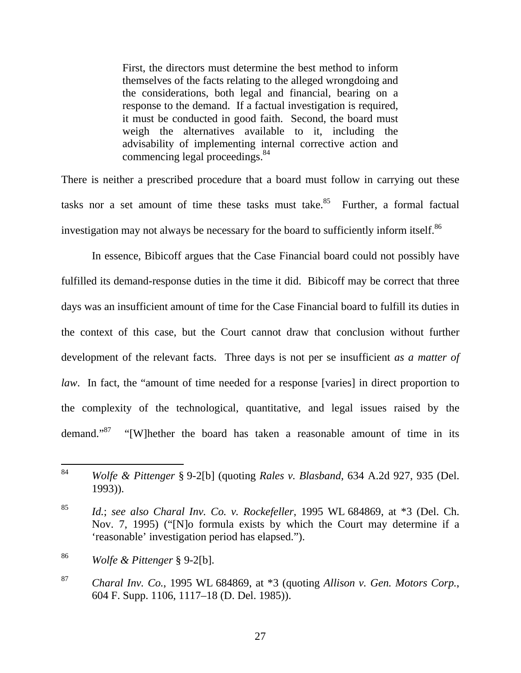First, the directors must determine the best method to inform themselves of the facts relating to the alleged wrongdoing and the considerations, both legal and financial, bearing on a response to the demand. If a factual investigation is required, it must be conducted in good faith. Second, the board must weigh the alternatives available to it, including the advisability of implementing internal corrective action and commencing legal proceedings.<sup>84</sup>

There is neither a prescribed procedure that a board must follow in carrying out these tasks nor a set amount of time these tasks must take. $85$  Further, a formal factual investigation may not always be necessary for the board to sufficiently inform itself.<sup>86</sup>

In essence, Bibicoff argues that the Case Financial board could not possibly have fulfilled its demand-response duties in the time it did. Bibicoff may be correct that three days was an insufficient amount of time for the Case Financial board to fulfill its duties in the context of this case, but the Court cannot draw that conclusion without further development of the relevant facts. Three days is not per se insufficient *as a matter of law*. In fact, the "amount of time needed for a response [varies] in direct proportion to the complexity of the technological, quantitative, and legal issues raised by the demand."<sup>87</sup> "[W]hether the board has taken a reasonable amount of time in its

<sup>84</sup> <sup>84</sup> *Wolfe & Pittenger* § 9-2[b] (quoting *Rales v. Blasband*, 634 A.2d 927, 935 (Del. 1993)).

<sup>85</sup> *Id.*; *see also Charal Inv. Co. v. Rockefeller*, 1995 WL 684869, at \*3 (Del. Ch. Nov. 7, 1995) ("[N]o formula exists by which the Court may determine if a 'reasonable' investigation period has elapsed.").

<sup>86</sup> *Wolfe & Pittenger* § 9-2[b].

<sup>87</sup> *Charal Inv. Co.*, 1995 WL 684869, at \*3 (quoting *Allison v. Gen. Motors Corp.*, 604 F. Supp. 1106, 1117–18 (D. Del. 1985)).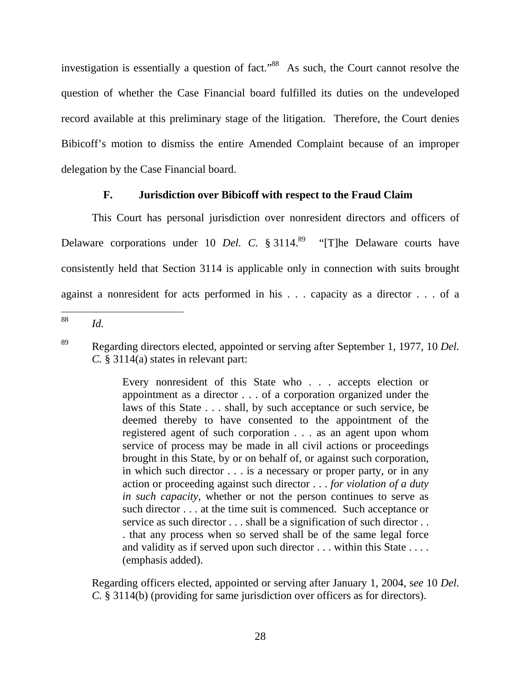investigation is essentially a question of fact.<sup>88</sup> As such, the Court cannot resolve the question of whether the Case Financial board fulfilled its duties on the undeveloped record available at this preliminary stage of the litigation. Therefore, the Court denies Bibicoff's motion to dismiss the entire Amended Complaint because of an improper delegation by the Case Financial board.

# **F. Jurisdiction over Bibicoff with respect to the Fraud Claim**

This Court has personal jurisdiction over nonresident directors and officers of Delaware corporations under 10 *Del. C.* § 3114.<sup>89</sup> "[T]he Delaware courts have consistently held that Section 3114 is applicable only in connection with suits brought against a nonresident for acts performed in his . . . capacity as a director . . . of a

88 *Id.* 

Every nonresident of this State who . . . accepts election or appointment as a director . . . of a corporation organized under the laws of this State . . . shall, by such acceptance or such service, be deemed thereby to have consented to the appointment of the registered agent of such corporation . . . as an agent upon whom service of process may be made in all civil actions or proceedings brought in this State, by or on behalf of, or against such corporation, in which such director . . . is a necessary or proper party, or in any action or proceeding against such director . . . *for violation of a duty in such capacity*, whether or not the person continues to serve as such director . . . at the time suit is commenced. Such acceptance or service as such director . . . shall be a signification of such director . . . that any process when so served shall be of the same legal force and validity as if served upon such director . . . within this State . . . . (emphasis added).

Regarding officers elected, appointed or serving after January 1, 2004, s*ee* 10 *Del. C.* § 3114(b) (providing for same jurisdiction over officers as for directors).

<sup>89</sup> Regarding directors elected, appointed or serving after September 1, 1977, 10 *Del. C.* § 3114(a) states in relevant part: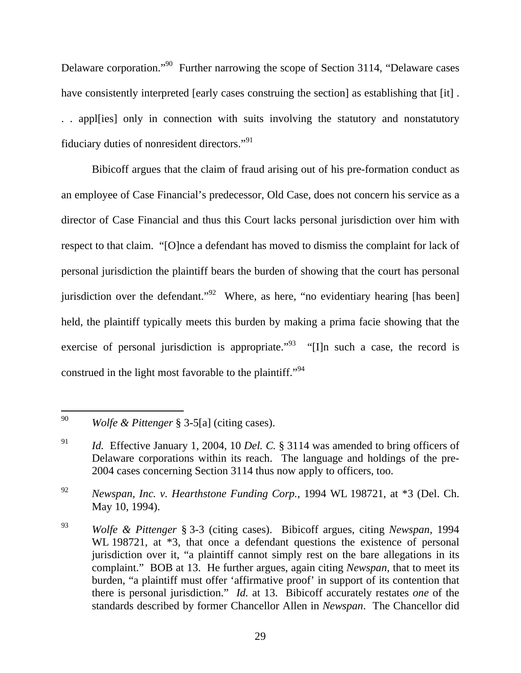Delaware corporation."90 Further narrowing the scope of Section 3114, "Delaware cases have consistently interpreted [early cases construing the section] as establishing that [it] . . . appl[ies] only in connection with suits involving the statutory and nonstatutory fiduciary duties of nonresident directors."<sup>91</sup>

Bibicoff argues that the claim of fraud arising out of his pre-formation conduct as an employee of Case Financial's predecessor, Old Case, does not concern his service as a director of Case Financial and thus this Court lacks personal jurisdiction over him with respect to that claim. "[O]nce a defendant has moved to dismiss the complaint for lack of personal jurisdiction the plaintiff bears the burden of showing that the court has personal jurisdiction over the defendant."<sup>92</sup> Where, as here, "no evidentiary hearing [has been] held, the plaintiff typically meets this burden by making a prima facie showing that the exercise of personal jurisdiction is appropriate.<sup> $93$ </sup> "[I]n such a case, the record is construed in the light most favorable to the plaintiff."<sup>94</sup>

 $\overline{a}$ 

<sup>90</sup> *Wolfe & Pittenger* § 3-5[a] (citing cases).

<sup>91</sup> *Id.* Effective January 1, 2004, 10 *Del. C.* § 3114 was amended to bring officers of Delaware corporations within its reach. The language and holdings of the pre-2004 cases concerning Section 3114 thus now apply to officers, too.

<sup>92</sup> *Newspan, Inc. v. Hearthstone Funding Corp.*, 1994 WL 198721, at \*3 (Del. Ch. May 10, 1994).

<sup>93</sup> *Wolfe & Pittenger* § 3-3 (citing cases). Bibicoff argues, citing *Newspan*, 1994 WL 198721, at  $*3$ , that once a defendant questions the existence of personal jurisdiction over it, "a plaintiff cannot simply rest on the bare allegations in its complaint." BOB at 13. He further argues, again citing *Newspan*, that to meet its burden, "a plaintiff must offer 'affirmative proof' in support of its contention that there is personal jurisdiction." *Id.* at 13. Bibicoff accurately restates *one* of the standards described by former Chancellor Allen in *Newspan*. The Chancellor did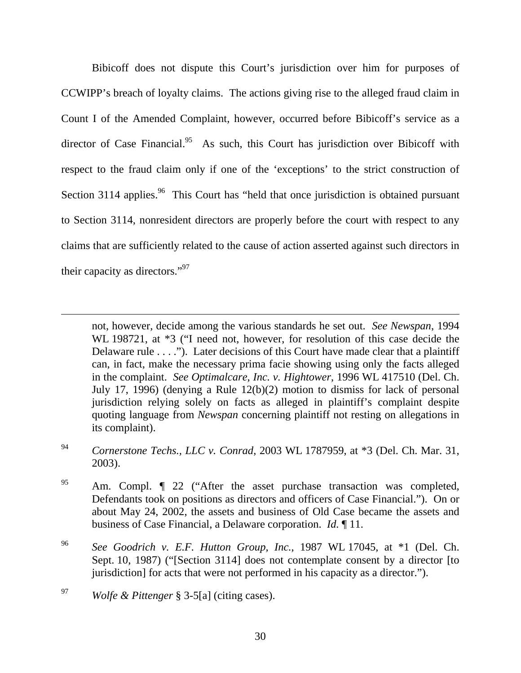Bibicoff does not dispute this Court's jurisdiction over him for purposes of CCWIPP's breach of loyalty claims. The actions giving rise to the alleged fraud claim in Count I of the Amended Complaint, however, occurred before Bibicoff's service as a director of Case Financial.<sup>95</sup> As such, this Court has jurisdiction over Bibicoff with respect to the fraud claim only if one of the 'exceptions' to the strict construction of Section 3114 applies.<sup>96</sup> This Court has "held that once jurisdiction is obtained pursuant to Section 3114, nonresident directors are properly before the court with respect to any claims that are sufficiently related to the cause of action asserted against such directors in their capacity as directors."97

not, however, decide among the various standards he set out. *See Newspan*, 1994 WL 198721, at  $*3$  ("I need not, however, for resolution of this case decide the Delaware rule . . . ."). Later decisions of this Court have made clear that a plaintiff can, in fact, make the necessary prima facie showing using only the facts alleged in the complaint. *See Optimalcare, Inc. v. Hightower*, 1996 WL 417510 (Del. Ch. July 17, 1996) (denying a Rule 12(b)(2) motion to dismiss for lack of personal jurisdiction relying solely on facts as alleged in plaintiff's complaint despite quoting language from *Newspan* concerning plaintiff not resting on allegations in its complaint).

<sup>94</sup> *Cornerstone Techs., LLC v. Conrad*, 2003 WL 1787959, at \*3 (Del. Ch. Mar. 31, 2003).

<sup>95</sup> Am. Compl.  $\int$  22 ("After the asset purchase transaction was completed, Defendants took on positions as directors and officers of Case Financial."). On or about May 24, 2002, the assets and business of Old Case became the assets and business of Case Financial, a Delaware corporation. *Id.* ¶ 11.

<sup>96</sup> *See Goodrich v. E.F. Hutton Group, Inc.*, 1987 WL 17045, at \*1 (Del. Ch. Sept. 10, 1987) ("[Section 3114] does not contemplate consent by a director [to jurisdiction] for acts that were not performed in his capacity as a director.").

 $\overline{a}$ 

<sup>97</sup> *Wolfe & Pittenger* § 3-5[a] (citing cases).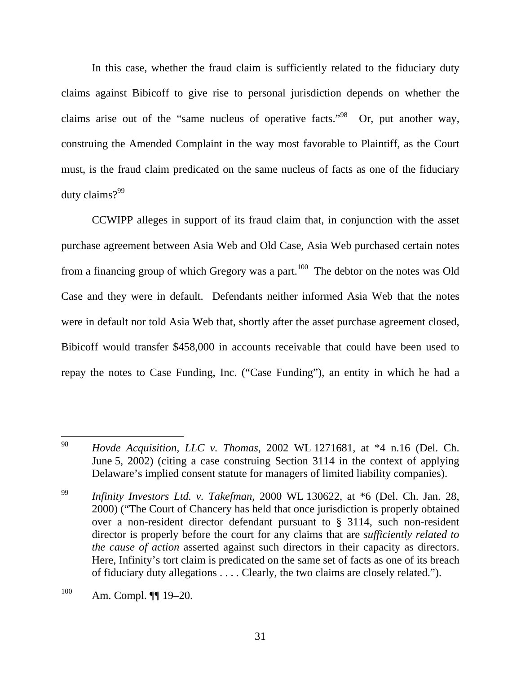In this case, whether the fraud claim is sufficiently related to the fiduciary duty claims against Bibicoff to give rise to personal jurisdiction depends on whether the claims arise out of the "same nucleus of operative facts."98 Or, put another way, construing the Amended Complaint in the way most favorable to Plaintiff, as the Court must, is the fraud claim predicated on the same nucleus of facts as one of the fiduciary duty claims?<sup>99</sup>

CCWIPP alleges in support of its fraud claim that, in conjunction with the asset purchase agreement between Asia Web and Old Case, Asia Web purchased certain notes from a financing group of which Gregory was a part.<sup>100</sup> The debtor on the notes was Old Case and they were in default. Defendants neither informed Asia Web that the notes were in default nor told Asia Web that, shortly after the asset purchase agreement closed, Bibicoff would transfer \$458,000 in accounts receivable that could have been used to repay the notes to Case Funding, Inc. ("Case Funding"), an entity in which he had a

<sup>99</sup> *Infinity Investors Ltd. v. Takefman*, 2000 WL 130622, at \*6 (Del. Ch. Jan. 28, 2000) ("The Court of Chancery has held that once jurisdiction is properly obtained over a non-resident director defendant pursuant to § 3114, such non-resident director is properly before the court for any claims that are *sufficiently related to the cause of action* asserted against such directors in their capacity as directors. Here, Infinity's tort claim is predicated on the same set of facts as one of its breach of fiduciary duty allegations . . . . Clearly, the two claims are closely related.").

<sup>98</sup> <sup>98</sup> *Hovde Acquisition, LLC v. Thomas*, 2002 WL 1271681, at \*4 n.16 (Del. Ch. June 5, 2002) (citing a case construing Section 3114 in the context of applying Delaware's implied consent statute for managers of limited liability companies).

<sup>100</sup> Am. Compl. ¶¶ 19–20.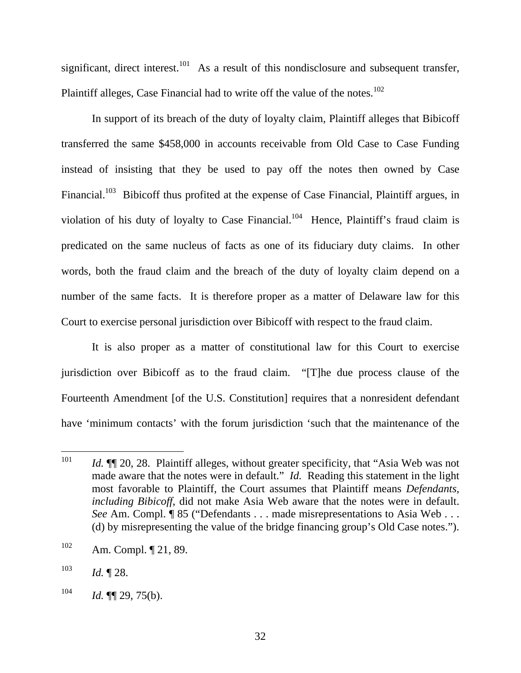significant, direct interest.<sup>101</sup> As a result of this nondisclosure and subsequent transfer, Plaintiff alleges, Case Financial had to write off the value of the notes.<sup>102</sup>

In support of its breach of the duty of loyalty claim, Plaintiff alleges that Bibicoff transferred the same \$458,000 in accounts receivable from Old Case to Case Funding instead of insisting that they be used to pay off the notes then owned by Case Financial.<sup>103</sup> Bibicoff thus profited at the expense of Case Financial, Plaintiff argues, in violation of his duty of loyalty to Case Financial.<sup>104</sup> Hence, Plaintiff's fraud claim is predicated on the same nucleus of facts as one of its fiduciary duty claims. In other words, both the fraud claim and the breach of the duty of loyalty claim depend on a number of the same facts. It is therefore proper as a matter of Delaware law for this Court to exercise personal jurisdiction over Bibicoff with respect to the fraud claim.

It is also proper as a matter of constitutional law for this Court to exercise jurisdiction over Bibicoff as to the fraud claim. "[T]he due process clause of the Fourteenth Amendment [of the U.S. Constitution] requires that a nonresident defendant have 'minimum contacts' with the forum jurisdiction 'such that the maintenance of the

<sup>101</sup> *Id.*  $\P$  20, 28. Plaintiff alleges, without greater specificity, that "Asia Web was not made aware that the notes were in default." *Id.* Reading this statement in the light most favorable to Plaintiff, the Court assumes that Plaintiff means *Defendants, including Bibicoff*, did not make Asia Web aware that the notes were in default. *See* Am. Compl. ¶ 85 ("Defendants . . . made misrepresentations to Asia Web . . . (d) by misrepresenting the value of the bridge financing group's Old Case notes.").

<sup>102</sup> Am. Compl. ¶ 21, 89.

 $103$  *Id.* 128.

 $104$  *Id.* **[1]** 29, 75(b).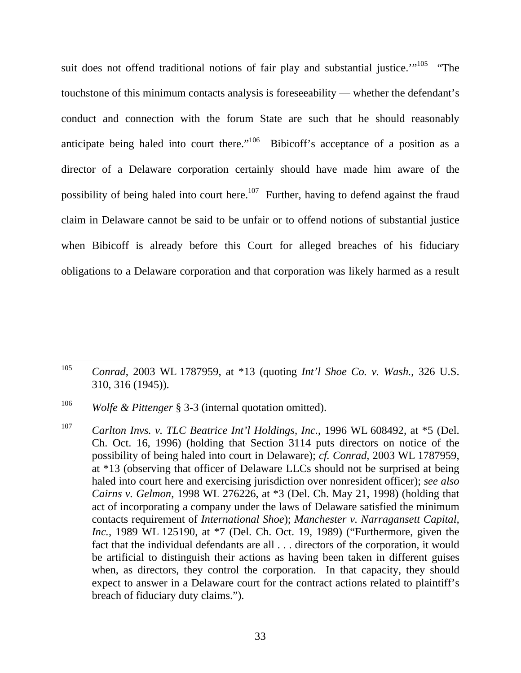suit does not offend traditional notions of fair play and substantial justice."<sup>105</sup> "The touchstone of this minimum contacts analysis is foreseeability — whether the defendant's conduct and connection with the forum State are such that he should reasonably anticipate being haled into court there."<sup>106</sup> Bibicoff's acceptance of a position as a director of a Delaware corporation certainly should have made him aware of the possibility of being haled into court here.<sup>107</sup> Further, having to defend against the fraud claim in Delaware cannot be said to be unfair or to offend notions of substantial justice when Bibicoff is already before this Court for alleged breaches of his fiduciary obligations to a Delaware corporation and that corporation was likely harmed as a result

<sup>105</sup> <sup>105</sup> *Conrad*, 2003 WL 1787959, at \*13 (quoting *Int'l Shoe Co. v. Wash.*, 326 U.S. 310, 316 (1945)).

<sup>106</sup> *Wolfe & Pittenger* § 3-3 (internal quotation omitted).

<sup>107</sup> *Carlton Invs. v. TLC Beatrice Int'l Holdings, Inc.*, 1996 WL 608492, at \*5 (Del. Ch. Oct. 16, 1996) (holding that Section 3114 puts directors on notice of the possibility of being haled into court in Delaware); *cf. Conrad*, 2003 WL 1787959, at \*13 (observing that officer of Delaware LLCs should not be surprised at being haled into court here and exercising jurisdiction over nonresident officer); *see also Cairns v. Gelmon*, 1998 WL 276226, at \*3 (Del. Ch. May 21, 1998) (holding that act of incorporating a company under the laws of Delaware satisfied the minimum contacts requirement of *International Shoe*); *Manchester v. Narragansett Capital, Inc.*, 1989 WL 125190, at \*7 (Del. Ch. Oct. 19, 1989) ("Furthermore, given the fact that the individual defendants are all . . . directors of the corporation, it would be artificial to distinguish their actions as having been taken in different guises when, as directors, they control the corporation. In that capacity, they should expect to answer in a Delaware court for the contract actions related to plaintiff's breach of fiduciary duty claims.").